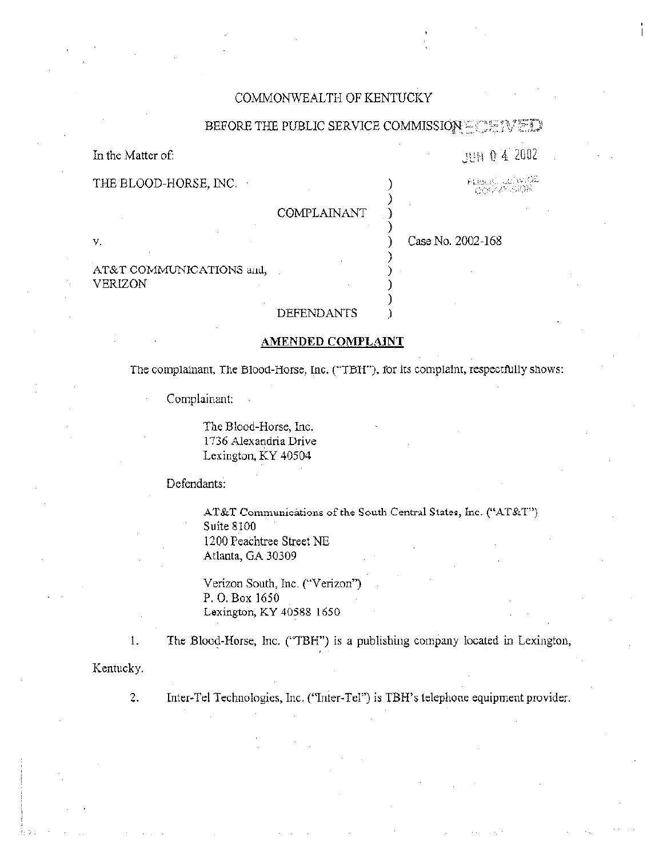# COMMONWEALTH OF KENTUCKY

### BEFORE THE PUBLIC SERVICE COMMISSION

In the Matter of:

٧.

**JUN 0 4 2002** 

Albert Lecheros

COMPLAINANT

Case No. 2002-168

AT&T COMMUNICATIONS and, **VERIZON** 

THE BLOOD-HORSE, INC.

# **DEFENDANTS**

### AMENDED COMPLAINT

The complainant, The Blood-Horse, Inc. ("TBH"), for its complaint, respectfully shows:

Complainant:

The Blood-Horse, Inc. 1736 Alexandria Drive Lexington, KY 40504

## Defendants:

AT&T Communications of the South Central States, Inc. ("AT&T") Suite 8100 1200 Peachtree Street NE Atlanta, GA 30309

Verizon South, Inc. ("Verizon") P.O. Box 1650 Lexington, KY 40588 1650

The Blood-Horse, Inc. ("TBH") is a publishing company located in Lexington,

Kentucky.

 $1.$ 

 $\overline{2}$ .

Inter-Tel Technologies, Inc. ("Inter-Tel") is TBH's telephone equipment provider.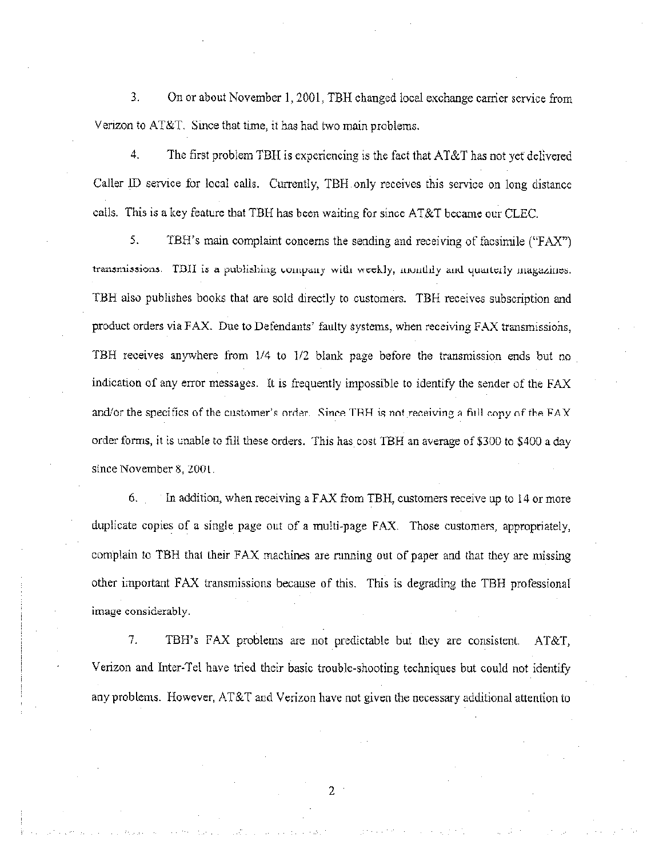3. On or about November 1, 2001, TBH changed local exchange carrier service from Verizon to AT&T. Since that time, it has had two main problems.

4. The first problem TBH is experiencing is the fact that AT&T has not yet delivered Caller ID service for local calls. Currently, TBH only receives this service on long distance calls. This is a key feature that TBH has been waiting for since  $AT&T$  became our CLEC.

5. TBH's main complaint concerns the sending and receiving of facsimile ("FAX") transmissions. TDII is a publishing company with weekly, monthly and quarterly magazines. TBH also publishes books that are sold directly to customers. TBH receives subscription and product orders via FAX. Due to Defendants' faulty systems, when receiving FAX transmissions, TBH receives anywhere from 1/4 to I/2 blank page before the transmission ends but no indication of any error messages. It is frequently impossible to identify the sender of the FAX and/or the specifics of the customer's order. Since TBH is not receiving a fill copy of the  $FAX$ order forms, it is unable to fill these orders. This has cost TBH an average of \$300 to \$400 a day since November 8, 2001.

6. In addition, when receiving a FAX from TBH, customers receive up to 14 or more duplicate copies of a single page out of a multi-page FAX. Those customers, appropriately, complain to TBH that their FAX machines are running out of paper and that they are missing other important FAX transmissions because of this. This is degrading the TBH professional image considerably

7. TBH's FAX probiems are not predictable but they are consistent. AT&T, Venzon and Inter-Tei have tried their basic trouble-shooting techniques but could not identify any problems. However, AT&T and Verizon have not given the necessary additional attention to

2.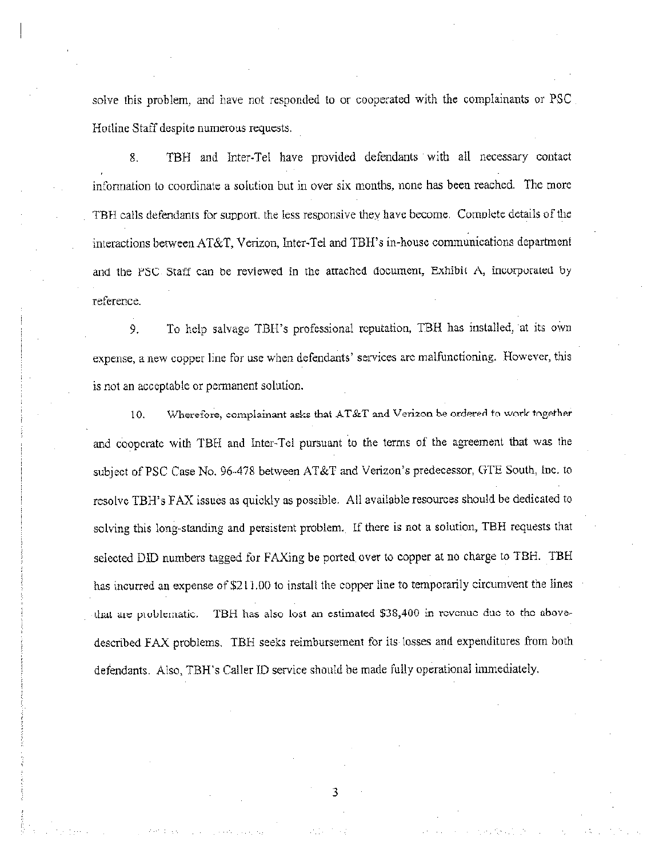solve this problem, and have not resporded to or cooperated with the complainants or PSC Hotline Staff despite numerous requests.

8. TBH and lnter-Tel have provided defendants with all necessary contact information to coordinate a solution but in over six months, none has been reached. The more TBH calls defendants for support, the less responsive they have become. Complete details of the interactions between AT&T, Verizon, Inter-Tel and TBH's in-house communications department and the PSC Staff can be reviewed in the attached document, Exhibit A, incorporated by reference.

9. Ta help salvage TBH's professional reputation, TBH has installed, at its own expense, a new copper line for use when defendants' services are malfunctioning. However, this is not an acceptable or permanent salutior..

10. Wherefore, complainant asks that AT&T and Verizon be ordered to work together and cooperate with TBH and Inter-Tel pursuant to the terms of the agreement that was the srbiect of PSC Case No. 96-478 between AT&T and Verizon's predecessor, CrTE South, lnc. ta resolve TBH\*s FAX issues as quickly as possible, All available resources should be dedicated to solving this long-standing and persistent problem. If there is not a solution, TBH requests that selected DID numbers tagged for FAXing be ported over to copper at no charge to TBH. TBH has incurred an expense of \$211.00 to install the copper line to temporarily circumvent the lines that are problematic. TBH has also lost an estimated \$38,400 in revenue due to the abovedescribed FAX problems. TBH seeks reimbursement for its losses and expenditures from both defendants. Also, TBH's Caller ID service should be made fully operational immediately.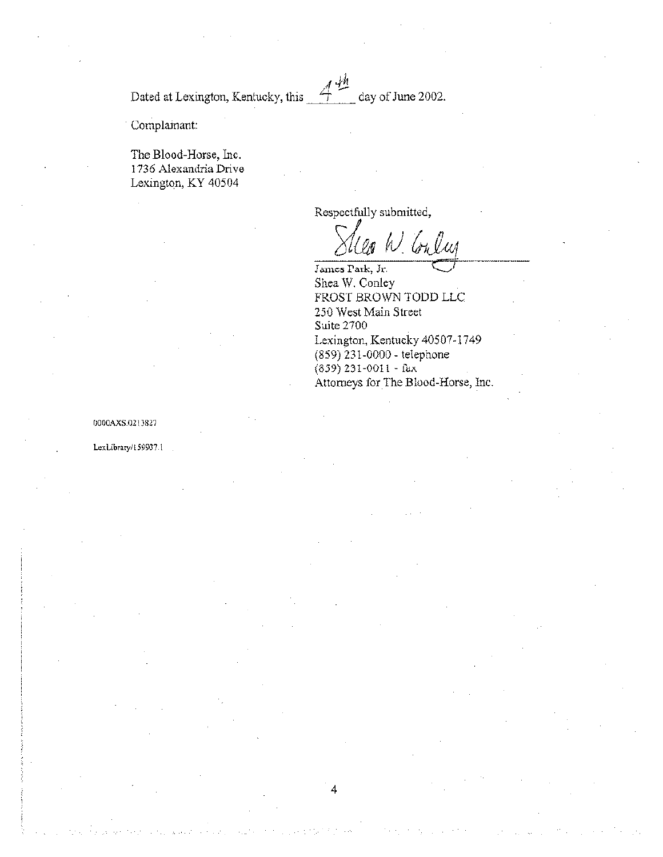4 f.M Dated at Lexington, Kentucky, this <u>for the day of June 2002</u>.

Complamant:

The Blood-Horse, Inc. <sup>1</sup> 736 Alexandria Drive Lexington, KY 40504

Respectfully submitted,

4

W. Conlus

James Park, Jr. Shea W. Conley FROST BROWN TODD LLC 250 West Main Street Suite 2700 I.exington, Kentucky 40507-1749 (859) 231-0000 - telephone  $(839)$  231-0011 - fax Attorneys for The Blood-Horse, inc.

0000AXS.0213827

LexLibrary/159937.1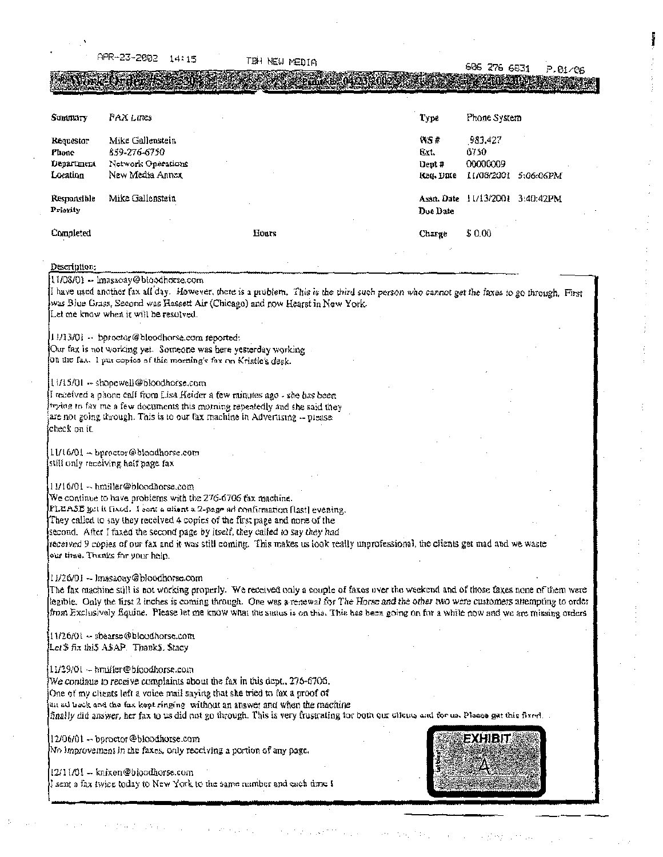-23-2002  $14:15$ THA NEW MEDIA 606 276 6831 P.01/06 TOMATICS AN 72 ANDU Summary **FAX Lines** Type Phone System **WS#** 983.427 Mike Gallenstein Requestor 859-276-6750 Ext. ő750 Phone Department Network Operations 00000009 Dent# Location New Media Annox 11/08/2001 5:06:06PM lteq. Date Responsible Mike Gallenstein Assn. Date 11/13/2001 3:40:42PM Priority Doc Date Completed Hours \$0.00 Charge Description: 11/08/01 -- Imasaoay@bloodhorse.com I have used another fax all day. However, there is a prublem. This is the third such person who cannot get the faxes to go through. First was Blue Grass, Second was Hassett Air (Chicago) and now Hearst in New York. Let me know when it will be resolved. 11/13/01 - bproctor@bloodhorse.com reported: Our fax is not working yet. Someone was here yesterday working. On the fax. I put copies of this morning's fax on Kristle's desk. 11/15/01 - shopewell@bloodhorse.com I received a phone call from Lisa Heider a few minutes ago - she has been trying to fax me a few documents this mothing repeatedly and she said they are not going through. This is to our fax machine in Advertising -- piease check on it.

11/16/01 - bproctor@bloodhorse.com still only receiving half page fax

11/16/01 - hmiller@bloodhorse.com

We continue to have problems with the 276-6706 fax machine.

FLEASE get it fixed. I sent a client a 2-page ad confirmation (last) evening.

They called to say they received 4 copies of the first page and none of the

second. After I faxed the second page by itself, they called to say they had

received 9 copies of our fax and it was still coming. This makes us look really unprofessional, the clients get mad and we waste our time. Thanks for your help.

11/26/01 - Imasaoay@bloodhorse.com

The fax machine still is not working properly. We received only a couple of faxes over the weekend and of those faxes none of them were legible. Only the first 2 inches is coming through. One was a renewal for The Horse and the other two were customers attempting to order from Exclusively fiquine. Please let me know what the surtus is on this. This has been going on for a while now and we are missing orders

11/26/01 - sbearse@bloodhorse.com Let'\$ fix this ASAP. Thanks, \$tacy

11/29/01 - hmiller@bloodhorse.com

We continue to receive complaints about the fax in this dept., 276-6706. One of my clients left a voice mail saying that she tried to fax a proof of an ad hack and the fax kept ringing without an answer and when the machine finally did answer, her fax to us did not go through. This is very frustrating tor both our clicus, and for us. Please get this fixed.

12/06/01 - baroctor @bloodhorse.com No improvement in the faxes, only receiving a portion of any page.

12/11/01 — knixen@bloodhorse.com I sent a fax twice today to New York to the same number and each time  $\Gamma$ 

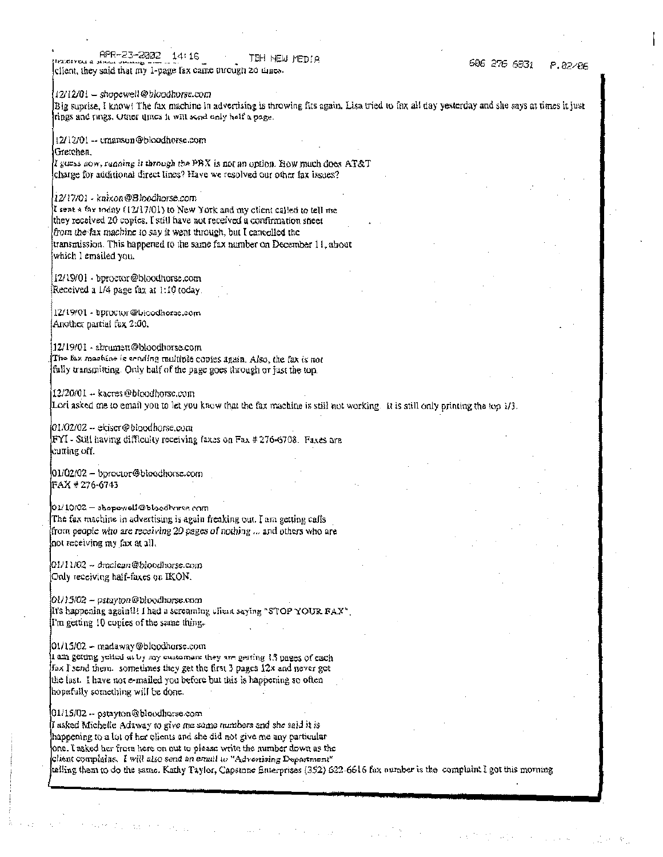APR-23-2002  $14:16$ TBH NEW MEDIA client, they said that my 1-page fax came through 20 times.

12/12/01 - shopewell@bloodhorse.com

Big suprise, I know! The fax machine in advertising is throwing fits again. Lisa tried to fax all day yesterday and she says at times it just rings and rings. Office times it will send only helf a page.

12/12/01 -- emanson@bloodherse.com Gretchen.

I guess now, ranging it through the PBX is not an option. How much does  $AT&T$ charge for additional direct lines? Have we resolved our other fax issues?

 $12/17/01$  - knixon@B)oodhorse.com

I sent a fax today (12/17/01) to New York and my client called to tell me they received 20 copies. I still have not received a confirmation sheet from the fax machine to say it went through, but I cancelled the transmission. This happened to the same fax number on December 11, about which I emailed you.

12/19/01 - bproctor@bloodhorse.com Received a 1/4 page fax at 1:10 today.

12/19/01 - bprovtor@bioodhorec.com Another partial fax 2:00.

12/19/01 - abrumett@bkoodhorse.com The fax machine is sending multiple copies again. Also, the fax is not fully transmitting. Only half of the page goes through or just the top.

12/20/01 -- kacres@bloodhorse.com Lori asked me to email you to let you knew that the fax machine is still not working. It is still only printing the top 1/3.

01/02/02 -- ekiscr@bloodhorse.com FYI - Still having difficulty receiving faxes on Fax # 276-6708. Faxes are cuπing off.

01/02/02 — bproctor@bloodhorse.com |FAX # 276-6743

 $01/10/02-s$  hopewell @bloodhorse.com The fax machine in advertising is again freaking out. I am getting calls from people who are receiving 20 pages of nothing ... and others who are not receiving my fax at all.

 $01/11/02 - draclean@blockorse.com$ Only receiving half-faxes on IKON.

 $[0!/]$ 5/02 - pstayton@bloodhurse.com It's happening again!!! I had a screaming client saying "STOP YOUR FAX". I'm getting 10 copies of the same thing.

01/15/02 - madaway@bloodhorse.com

I am getting yelled at by my customars they are getting 13 pages of each fax I send them. sometimes they get the first 3 pages 12x and never get the last. I have not e-mailed you before but this is happening so often hopefully something will be done.

01/15/02 -- pstayton@bloodhorse.com If asked Michelle Adaway to give me some numbers and she said it is happening to a lot of her clients and she did not give me any particular one. I asked her from here on out to please write the number down as the client complains. I will also send an erasil to "Advertising Department" relling them to do the same. Kathy Taylor, Capstone Enterprises (352) 622-6616 fax number is the complaint I got this morning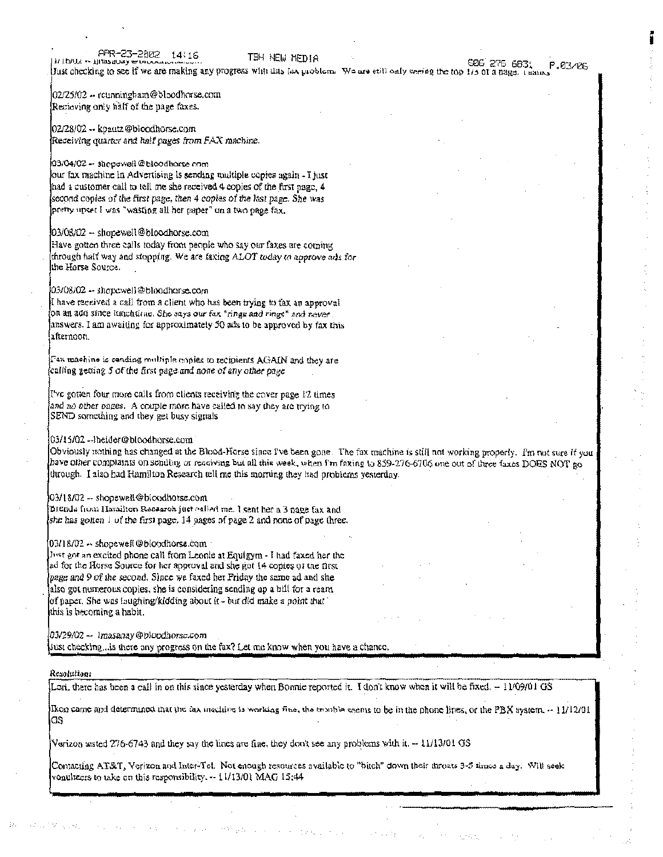APR-23-2002 14\16 HIDAL - Huasaosy wind

TBH NEW MEDIA

02/25/02 -- reunningham@bloodhorse.com Recieving only half of the page faxes.

02/28/02 - kpautz@bloodhorse.com Receiving quarter and half pages from FAX machine.

#### 03/04/02 -- shepswell@bloodhorse.com

our fax machine in Advertising is sending multiple copies again - I just had a customer call to tell me she received 4 copies of the first page, 4 second copies of the first page, then 4 copies of the last page. She was pretty upset I was "wasting all her paper" on a two page fax.

#### 03/08/02 -- shopewell@bloodhorse.com

Have gotten three calls today from people who say our faxes are coming through half way and stopping. We are faxing ALOT today to approve ads for the Horse Source.

03/08/02 -- shopewell@bloodhorse.com

I have received a call from a client who has been trying to tax an approval on an add since lunchtime. She says our fax "rings and rings" and never. answers. I am awaiting for approximately 50 ads to be approved by fax this afternoon.

Fax machine is sending multiple copies to recipients AGAIN and they are calling getting 5 of the first page and none of any other page.

Tve gotten four more calls from clients receiving the cover page 12 times and no other pages. A couple more have called to say they are trying to SEND something and they get busy signals

#### 03/15/02 --{beider@bloodborse.com}

Obviously nothing has changed at the Blood-Horse since i've been gone. The fax machine is still not working properly. I'm not sure if you have other complaints on sending or receiving but all this week, when I'm faxing to 859-276-6706 one out of three faxes DOES NOT go through. I also had Hamilton Research tell me this morning they had problems yesterday.

#### 03/18/02 -- shopewell@bloodhorse.com

Brenda from Harailton Research just called me. I sent her a 3 page fax and she has golten 1 of the first page. 14 pages of page 2 and none of page three.

#### $03/18/02 -$ shopewell@bloodhorse.com

Just got an excited phone call from Leonie at Equigym - I had faxed her the ad for the Horse Source for her approval and she got 14 copies of the first page and 9 of the second. Since we faxed her Friday the same ad and she also got numerous copies, she is considering sending up a bill for a ream of paper. She was isughing/kidding about it - but did make a point that this is becoming a habit.

03/29/02 — Trassanay@bloodhorse.com |

Just checking, is there any progress on the fax? Let me know when you have a chance,

#### Resolution:

Lori, there has been a call in on this since yesterday when Bonnic reported it. I don't know when it will be fixed. - 11/09/01 GS

Ikon came and determined that the fax machine is working fine, the trouble seems to be in the phone lines, or the PBX system. -- 11/12/01 GS

Verizon tested 276-6743 and they say the lines are fine, they don't see any problems with it.  $-11/13/01$  GS

Contacting AT&T, Verizon and Inter-Tet. Not enough resources available to "bitch" down their throats 3-5 times a day. Will seek onelizers to take on this responsibility.  $-11/13/01$  MAG 15:44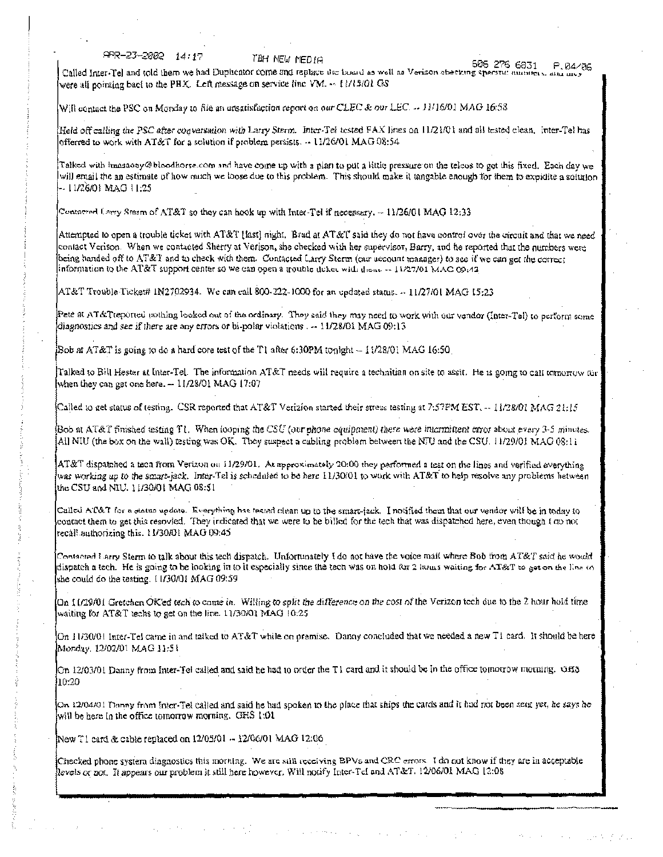$APR - 23 - 2882 - 14117$ 

TEH NEW MEDIA

were all pointing back to the PBX. Left message on service line VM.  $\sim$  11/13/01 GS

605 276 6831 P.04/06 Called Inter-Tel and told them we had Duplicator come and replace the board as well as Verison sheeking specific manners, and any

Will contact the PSC on Monday to file an unsatisfaction report on our CLEC & our LEC. -- 11/16/01 MAG 16:58

Held off calling the PSC after cogversation with Larry Sterm. Inter-Tel tested FAX lines on 11/21/01 and all tested clean, Inter-Tel has offerred to work with AT&T for a solution if problem persists. -- 11/26/01 MAG 08:54

Talked with imassony@bloodhorse.com and have come up with a plan to put a little pressure on the telcos to get this fixed. Each day we will email the an estimate of how much we loose due to this problem. This should make it tangable enough for them to expidite a solution - 11/26/01 MAG 11:25

Contacted Larry Sterm of AT&T so they can hook up with Inter-Tel if necessary,  $\sim 11/26/01$  MAG 12:33

Attempted to open a trouble ticket with AT&T [last] night. Brad at AT&T said they do not have control over the circuit and that we need contact Verison. When we contacted Sherry at Verison, she checked with her supervisor, Barry, and he reported that the numbers were being banded off to AT&T and to check with them. Contacted Larry Sterm (our account manager) to see if we can get the correct information to the AT&T support center so we can open a trouble ticket with them. -- 11/27/01 MAC 09:43

AT&T Trouble Ticket# IN2702934. We can call 800-222-1000 for an updated status. . 11/27/01 MAG 15:23

Pete at AT&Treported nothing looked out of the ordinary. They said they may need to work with our vendor (Inter-Tel) to perform some diagnostics and see if there are any errors or bi-polar violations  $\sim$  11/28/01 MAG 09:13

[Sob at AT&T is going to do a hard core test of the T1 after 6:30PM tonight - 11/28/01 MAG 16:50]

Talked to Bill Hester at Inter-Tel. The information AT&T needs will require a technitian on site to assit. He is going to call tomorrow for when they can get one here.  $-11/28/01$  MAG 17:07

Called to get status of testing. CSR reported that AT&T Verizion started their stress testing at 7:57PM EST, -- 11/28/01 MAG 21:15

Bob at AT&T finished testing T1. When looping the CSU (our phone equipment) there were intermittent error about every 3-5 minutes. All NIU (the box on the wall) testing was OK. They suspect a cubling problem between the NTU and the CSU. 11/29/01 MAG 08:11

AT&T dispatched a tecn from Verizon on 11/29/01. At approximately 20:00 they performed a test on the lines and verified everything was working up to the smart-jack. Inter-Tel is scheduled to be here 11/30/01 to work with AT&T to help resolve any problems hetween the CSU and NIU. 11/30/01 MAG 08:51

Called AT&T for a statue update. Everything has tested clean up to the smart-jack. I notified them that our vendor will be in today to contact them to get this resovled. They indicated that we were to be billed for the tech that was dispatched here, even though I go not recall authorizing this, 11/30/01 MAG 09:45

Contacted Larry Sterm to talk about this tech dispatch. Unfortunately I do not have the voice mail where Bob from AT&T said he would dispatch a tech. He is going to be looking in to it especially since the tech was on hold for 2 homs waiting for AT&T to get on the line to she could do the testing. I I/30/01 MAG 09:59

On 11/29/01 Gretchen OK'ed tech to come in. Willing to split the difference on the cost of the Verizon tech due to the 2 hour hold time waiting for AT&T techs to get on the line. 11/30/01 MAG 10.25

On 11/30/01 Inter-Tel came in and taiked to AT&T while on premise. Danny concluded that we needed a new T1 card. It should be here Monday, 12/02/01 MAG 11:51

On 12/03/01 Danny from Inter-Tel called and said he had to order the T1 card and it should be in the office tomotrow morning. GH3 10:20

On 12/04/01 Donny from Inter-Tel called and said he had spoken to the place that ships the cards and it had not been som yet, he says he will be here in the office tomorrow morning. GHS 1:01

New T1 card & cable replaced on 12/05/01 -- 12/06/01 MAG 12:06

Checked phone system diagnostics this morning. We are still receiving BPVs and CRC errors. I do not know if they are in acceptable levels or not. It appears our problem it still here however, Will notify Inter-Tel and AT&T. 12/06/01 MAG 12:08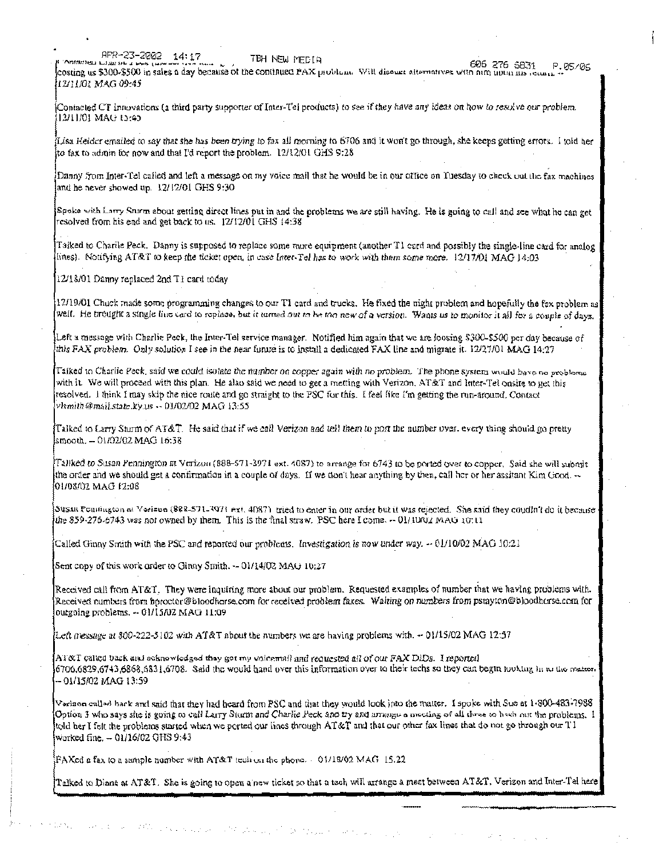APR-23-2002 14:17 овалет гланет.

TBH NEW MEDIA

606 276 5831 P.05/06 costing us \$300-\$500 in sales a day because of the continued PAX problem. Will discuss attemptives with him upon the return.

Contacted CT Innovations (a third party supporter of Inter-Tel products) to see if they have any ideas on how to resolve our problem. 12/11/01 MAG 15:45

Lisa Heider emailed to say that she has been trying to fax all morning to 6706 and it won't go through, she keeps getting errors. I told her to fax to admin for now and that I'd report the problem.  $12/12/01$  GHS 9:28

Danny from Inter-Tel called and left a message on my voice mall that he would be in our office on Tuesday to check out the fax machines and he never showed up. 12/12/01 GHS 9:30

Spoke with Larry Sturm about getting direct lines put in and the problems we are still having. He is going to call and see what he can get resolved from his end and get back to us. 12/12/01 GHS 14:38

Taiked to Charile Peck. Danny is supposed to replace some more equipment (another T1 card and possibly the single-line card for analog lines). Notifying AT&T to keep the ticket open, in case Inter-Tel has to work with them some more. 12/17/01 MAG 14:03

12/18/01 Danny replaced 2nd T1 card today

12/11/01 MAG 09:45

12/19/01 Chuck made some programming changes to our T1 card and trucks. He fixed the night problem and hopefully the fax problem as well. He brought a single line card to replace, but it turned out to be the new of a version. Wants us to monitor it all for a couple of days.

Left a message with Charlie Peck, the Inter-Tel service manager. Notified him again that we are loosing \$300-\$500 per day because of this FAX problem. Only solution I see in the near funtre is to install a dedicated FAX line and migrate it. 12/27/01 MAG 14:27

Taiked to Charlie Peck, said we could isolate the number on copper again with no problem. The phone system would bave no problems with it. We will proceed with this plan. He also said we need to get a metting with Verizon, AT&T and Inter-Tel onsite to get this resolved. I think I may skip the nice route and go straight to the PSC for this. I feel like I'm getting the run-around. Contact vlsmith@mail.state.ky.us -- 01/02/02 MAG 13:55

Talked to Larry Sturm of AT&T. He said that if we call Verizon and tell them to port the number over, every thing should go pretty smooth. - 01/02/02 MAG 16:38

Taliked to Susan Pennington at Verizon (888–571-3971 ext. 4087) to arrange for 6743 to be ported over to copper. Said she will submit the order and we should get a confirmation in a couple of days. If we don't hear anything by then, call her or her assitant Kim Good,  $\sim$ 01/08/02 MAG 12:08

Susan Founington at Verlaun (888-571-397) ext. 4087) tried to enter in our order but it was rejected. She said they coudin't do it because the 859-276-6743 was not owned by them. This is the final straw. PSC here I come.  $-01/100x$  MAG 10:11

Called Ginny Smith with the PSC and reported our problems. Investigation is now under way. -- 01/10/02 MAG 10:21

Sent copy of this work order to Ginny Smith. -- 01/14/02 MAG 10:27

감함은 나는 모든 모든 모

Received call from AT&T. They were inquiring more about our problem. Requested examples of number that we having problems with. Received numbers from boroctor@bloodhorse.com for received problem faxes. Waiting on numbers from pstayton@bloodhorse.com for ourgoing problems. -- 01/15/02 MAG 11:09

Left message at  $300-222-5102$  with AT&T about the numbers we are having problems with.  $-01/15/02$  MAG 12:57

 $\text{A1}\&\text{T}$  called back and acknowledged they got my valuemal) and requested all of our FAX DiDs. I reported 6706,6829,6743,6868,6831,6708. Said the would hand over this information over to their techs so they can begin tooking in to the matter. -- 01/15/02 MAG 13:59

Vorison called hack and said that they had heard from PSC and that they would look jnto the matter. I spoke with Sue at 1-800-483-7988 Option 3 who says she is going to call Larry Sturm and Charlie Peck and try and arrange a meeting of all three to hach out the problems. I told her I felt the problems started when we ported our lines through AT&T and that our other fax lines that do not go through our T1 worked fine, - 01/16/02 GHS 9:43

FAXed a fax to a sample number with AT&T tech on the phone. 01/18/02 MAG 15.22

Talked to Diane at AT&T. She is going to open a new ticket so that a tech will arrange a meet between AT&T, Verizon and Inter-Tel here